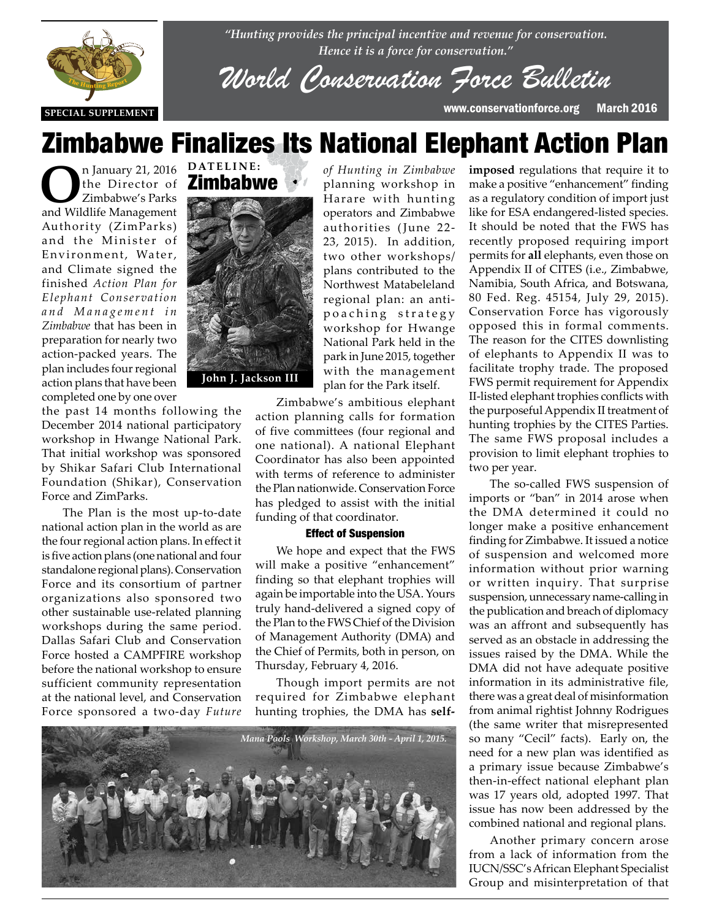

*"Hunting provides the principal incentive and revenue for conservation. Hence it is a force for conservation."*

*World Conservation Force Bulletin*

**SPECIAL SUPPLEMENT** www.conservationforce.org March 2016

# Zimbabwe Finalizes Its National Elephant Action Plan

**O**n January 21, 2016 the Director of Zimbabwe's Parks and Wildlife Management Authority (ZimParks) and the Minister of Environment, Water, and Climate signed the finished *Action Plan for Elephant Conservation a n d M a n a g e m e n t i n Zimbabwe* that has been in preparation for nearly two action-packed years. The plan includes four regional action plans that have been completed one by one over

the past 14 months following the the past 14 months following the<br>December 2014 national participatory workshop in Hwange National Park. That initial workshop was sponsored by Shikar Safari Club International Foundation (Shikar), Conservation Force and ZimParks.

> The Plan is the most up-to-date national action plan in the world as are the four regional action plans. In effect it is five action plans (one national and four standalone regional plans). Conservation Force and its consortium of partner organizations also sponsored two other sustainable use-related planning workshops during the same period. Dallas Safari Club and Conservation Force hosted a CAMPFIRE workshop before the national workshop to ensure sufficient community representation at the national level, and Conservation Force sponsored a two-day *Future*



*of Hunting in Zimbabwe* planning workshop in Harare with hunting operators and Zimbabwe authorities (June 22- 23, 2015). In addition, two other workshops/ plans contributed to the Northwest Matabeleland regional plan: an antipoaching strategy workshop for Hwange National Park held in the park in June 2015, together with the management plan for the Park itself.

Zimbabwe's ambitious elephant action planning calls for formation of five committees (four regional and one national). A national Elephant Coordinator has also been appointed with terms of reference to administer the Plan nationwide. Conservation Force has pledged to assist with the initial funding of that coordinator.

#### Effect of Suspension

We hope and expect that the FWS will make a positive "enhancement" finding so that elephant trophies will again be importable into the USA. Yours truly hand-delivered a signed copy of the Plan to the FWS Chief of the Division of Management Authority (DMA) and the Chief of Permits, both in person, on Thursday, February 4, 2016.

Though import permits are not required for Zimbabwe elephant hunting trophies, the DMA has **self-**



**imposed** regulations that require it to make a positive "enhancement" finding as a regulatory condition of import just like for ESA endangered-listed species. It should be noted that the FWS has recently proposed requiring import permits for **all** elephants, even those on Appendix II of CITES (i.e., Zimbabwe, Namibia, South Africa, and Botswana, 80 Fed. Reg. 45154, July 29, 2015). Conservation Force has vigorously opposed this in formal comments. The reason for the CITES downlisting of elephants to Appendix II was to facilitate trophy trade. The proposed FWS permit requirement for Appendix II-listed elephant trophies conflicts with the purposeful Appendix II treatment of hunting trophies by the CITES Parties. The same FWS proposal includes a provision to limit elephant trophies to two per year.

The so-called FWS suspension of imports or "ban" in 2014 arose when the DMA determined it could no longer make a positive enhancement finding for Zimbabwe. It issued a notice of suspension and welcomed more information without prior warning or written inquiry. That surprise suspension, unnecessary name-calling in the publication and breach of diplomacy was an affront and subsequently has served as an obstacle in addressing the issues raised by the DMA. While the DMA did not have adequate positive information in its administrative file, there was a great deal of misinformation from animal rightist Johnny Rodrigues (the same writer that misrepresented so many "Cecil" facts). Early on, the need for a new plan was identified as a primary issue because Zimbabwe's then-in-effect national elephant plan was 17 years old, adopted 1997. That issue has now been addressed by the combined national and regional plans.

Another primary concern arose from a lack of information from the IUCN/SSC's African Elephant Specialist Group and misinterpretation of that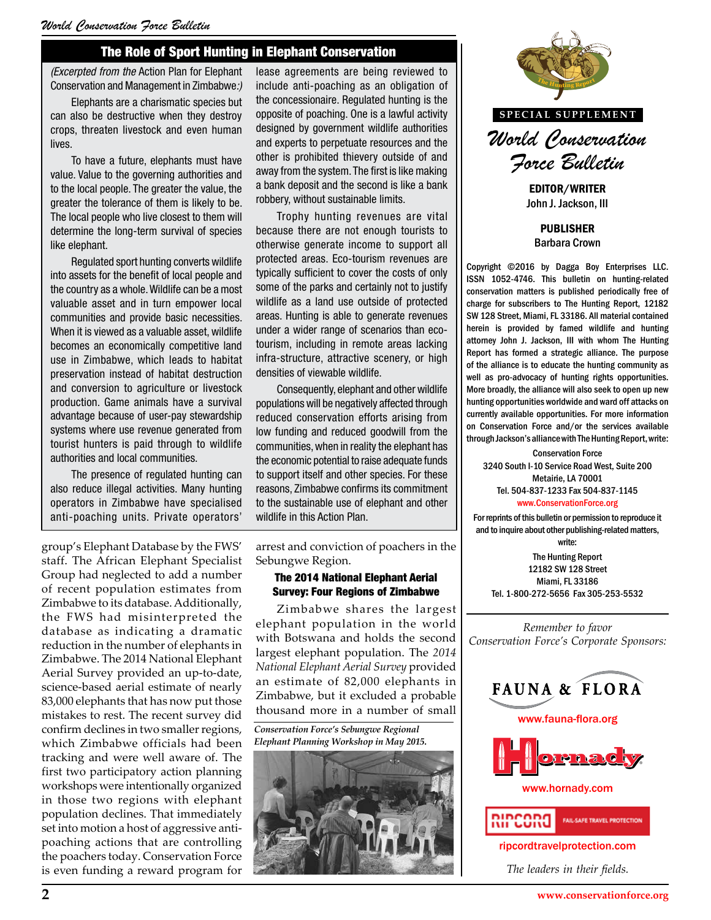## The Role of Sport Hunting in Elephant Conservation

*(Excerpted from the* Action Plan for Elephant Conservation and Management in Zimbabwe*:)*

Elephants are a charismatic species but can also be destructive when they destroy crops, threaten livestock and even human lives.

To have a future, elephants must have value. Value to the governing authorities and to the local people. The greater the value, the greater the tolerance of them is likely to be. The local people who live closest to them will determine the long-term survival of species like elephant.

Regulated sport hunting converts wildlife into assets for the benefit of local people and the country as a whole. Wildlife can be a most valuable asset and in turn empower local communities and provide basic necessities. When it is viewed as a valuable asset, wildlife becomes an economically competitive land use in Zimbabwe, which leads to habitat preservation instead of habitat destruction and conversion to agriculture or livestock production. Game animals have a survival advantage because of user-pay stewardship systems where use revenue generated from tourist hunters is paid through to wildlife authorities and local communities.

The presence of regulated hunting can also reduce illegal activities. Many hunting operators in Zimbabwe have specialised anti-poaching units. Private operators'

group's Elephant Database by the FWS' staff. The African Elephant Specialist Group had neglected to add a number of recent population estimates from Zimbabwe to its database. Additionally, the FWS had misinterpreted the database as indicating a dramatic reduction in the number of elephants in Zimbabwe. The 2014 National Elephant Aerial Survey provided an up-to-date, science-based aerial estimate of nearly 83,000 elephants that has now put those mistakes to rest. The recent survey did confirm declines in two smaller regions, which Zimbabwe officials had been tracking and were well aware of. The first two participatory action planning workshops were intentionally organized in those two regions with elephant population declines. That immediately set into motion a host of aggressive antipoaching actions that are controlling the poachers today. Conservation Force is even funding a reward program for lease agreements are being reviewed to include anti-poaching as an obligation of the concessionaire. Regulated hunting is the opposite of poaching. One is a lawful activity designed by government wildlife authorities and experts to perpetuate resources and the other is prohibited thievery outside of and away from the system. The first is like making a bank deposit and the second is like a bank robbery, without sustainable limits.

Trophy hunting revenues are vital because there are not enough tourists to otherwise generate income to support all protected areas. Eco-tourism revenues are typically sufficient to cover the costs of only some of the parks and certainly not to justify wildlife as a land use outside of protected areas. Hunting is able to generate revenues under a wider range of scenarios than ecotourism, including in remote areas lacking infra-structure, attractive scenery, or high densities of viewable wildlife.

Consequently, elephant and other wildlife populations will be negatively affected through reduced conservation efforts arising from low funding and reduced goodwill from the communities, when in reality the elephant has the economic potential to raise adequate funds to support itself and other species. For these reasons, Zimbabwe confirms its commitment to the sustainable use of elephant and other wildlife in this Action Plan.

arrest and conviction of poachers in the Sebungwe Region.

#### The 2014 National Elephant Aerial Survey: Four Regions of Zimbabwe

Zimbabwe shares the largest elephant population in the world with Botswana and holds the second largest elephant population. The *2014 National Elephant Aerial Survey* provided an estimate of 82,000 elephants in Zimbabwe, but it excluded a probable thousand more in a number of small

*Conservation Force's Sebungwe Regional Elephant Planning Workshop in May 2015.*





EDITOR/WRITER John J. Jackson, III

PUBLISHER Barbara Crown

Copyright ©2016 by Dagga Boy Enterprises LLC. ISSN 1052-4746. This bulletin on hunting-related conservation matters is published periodically free of charge for subscribers to The Hunting Report, 12182 SW 128 Street, Miami, FL 33186. All material contained herein is provided by famed wildlife and hunting attorney John J. Jackson, III with whom The Hunting Report has formed a strategic alliance. The purpose ery, or high **the alliance is to educate the hunting community as** are purpose of the alliance is to educate the hunting community as well as pro-advocacy of hunting rights opportunities. More broadly, the alliance will also seek to open up new hunting opportunities worldwide and ward off attacks on cted through **combinations opportunities worldwide and ward off attacks on<br>trising from <b>currently available opportunities.** For more information on Conservation Force and/or the services available through Jackson's alliance with The Hunting Report, write:

> Conservation Force 3240 South I-10 Service Road West, Suite 200 Metairie, LA 70001 Tel. 504-837-1233 Fax 504-837-1145 www.ConservationForce.org

For reprints of this bulletin or permission to reproduce it and to inquire about other publishing-related matters, write:

The Hunting Report 12182 SW 128 Street Miami, FL 33186 Tel. 1-800-272-5656 Fax 305-253-5532

*Remember to favor Conservation Force's Corporate Sponsors:*







www.hornady.com



ripcordtravelprotection.com

*The leaders in their fields.*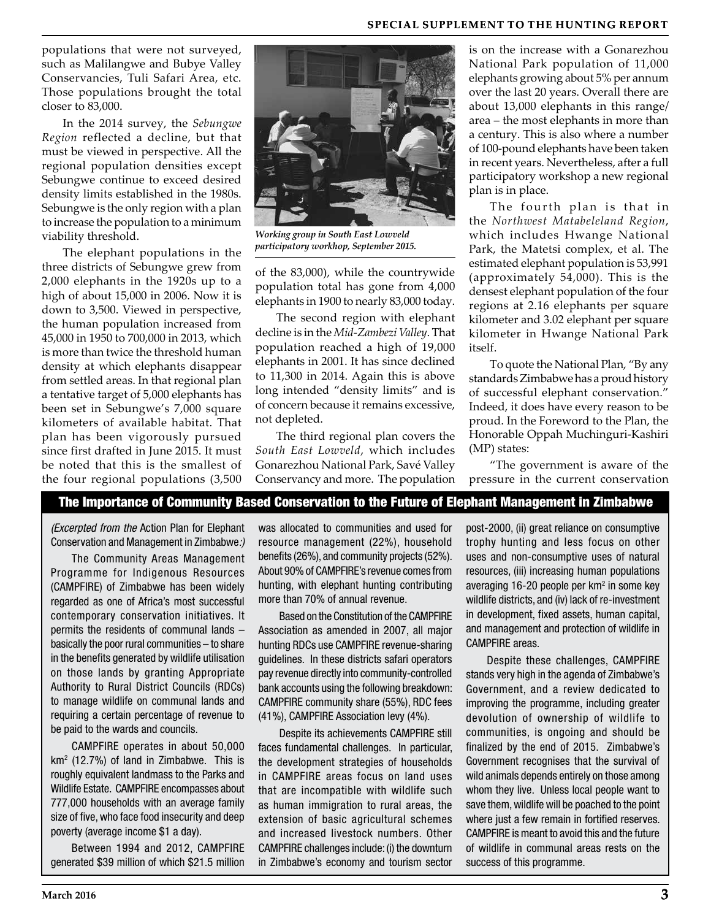### **SPECIAL SUPPLEMENT TO THE HUNTING REPORT**

populations that were not surveyed, such as Malilangwe and Bubye Valley Conservancies, Tuli Safari Area, etc. Those populations brought the total closer to 83,000.

In the 2014 survey, the *Sebungwe Region* reflected a decline, but that must be viewed in perspective. All the regional population densities except Sebungwe continue to exceed desired density limits established in the 1980s. Sebungwe is the only region with a plan to increase the population to a minimum viability threshold.

The elephant populations in the three districts of Sebungwe grew from 2,000 elephants in the 1920s up to a high of about 15,000 in 2006. Now it is down to 3,500. Viewed in perspective, the human population increased from 45,000 in 1950 to 700,000 in 2013, which is more than twice the threshold human density at which elephants disappear from settled areas. In that regional plan a tentative target of 5,000 elephants has been set in Sebungwe's 7,000 square kilometers of available habitat. That plan has been vigorously pursued since first drafted in June 2015. It must be noted that this is the smallest of the four regional populations (3,500



*Working group in South East Lowveld participatory workhop, September 2015.*

of the 83,000), while the countrywide population total has gone from 4,000 elephants in 1900 to nearly 83,000 today.

The second region with elephant decline is in the *Mid-Zambezi Valley*. That population reached a high of 19,000 elephants in 2001. It has since declined to 11,300 in 2014. Again this is above long intended "density limits" and is of concern because it remains excessive, not depleted.

The third regional plan covers the *South East Lowveld*, which includes Gonarezhou National Park, Savé Valley Conservancy and more. The population

is on the increase with a Gonarezhou National Park population of 11,000 elephants growing about 5% per annum over the last 20 years. Overall there are about 13,000 elephants in this range/ area – the most elephants in more than a century. This is also where a number of 100-pound elephants have been taken in recent years. Nevertheless, after a full participatory workshop a new regional plan is in place.

The fourth plan is that in the *Northwest Matabeleland Region*, which includes Hwange National Park, the Matetsi complex, et al. The estimated elephant population is 53,991 (approximately 54,000). This is the densest elephant population of the four regions at 2.16 elephants per square kilometer and 3.02 elephant per square kilometer in Hwange National Park itself.

To quote the National Plan, "By any standards Zimbabwe has a proud history of successful elephant conservation." Indeed, it does have every reason to be proud. In the Foreword to the Plan, the Honorable Oppah Muchinguri-Kashiri (MP) states:

"The government is aware of the pressure in the current conservation

### The Importance of Community Based Conservation to the Future of Elephant Management in Zimbabwe

*(Excerpted from the* Action Plan for Elephant Conservation and Management in Zimbabwe*:)*

The Community Areas Management Programme for Indigenous Resources (CAMPFIRE) of Zimbabwe has been widely regarded as one of Africa's most successful contemporary conservation initiatives. It permits the residents of communal lands – basically the poor rural communities – to share in the benefits generated by wildlife utilisation on those lands by granting Appropriate Authority to Rural District Councils (RDCs) to manage wildlife on communal lands and requiring a certain percentage of revenue to be paid to the wards and councils.

CAMPFIRE operates in about 50,000  $km<sup>2</sup>$  (12.7%) of land in Zimbabwe. This is roughly equivalent landmass to the Parks and Wildlife Estate. CAMPFIRE encompasses about 777,000 households with an average family size of five, who face food insecurity and deep poverty (average income \$1 a day).

Between 1994 and 2012, CAMPFIRE generated \$39 million of which \$21.5 million was allocated to communities and used for resource management (22%), household benefits (26%), and community projects (52%). About 90% of CAMPFIRE's revenue comes from hunting, with elephant hunting contributing more than 70% of annual revenue.

Based on the Constitution of the CAMPFIRE Association as amended in 2007, all major hunting RDCs use CAMPFIRE revenue-sharing guidelines. In these districts safari operators pay revenue directly into community-controlled bank accounts using the following breakdown: CAMPFIRE community share (55%), RDC fees (41%), CAMPFIRE Association levy (4%).

Despite its achievements CAMPFIRE still faces fundamental challenges. In particular, the development strategies of households in CAMPFIRE areas focus on land uses that are incompatible with wildlife such as human immigration to rural areas, the extension of basic agricultural schemes and increased livestock numbers. Other CAMPFIRE challenges include: (i) the downturn in Zimbabwe's economy and tourism sector

post-2000, (ii) great reliance on consumptive trophy hunting and less focus on other uses and non-consumptive uses of natural resources, (iii) increasing human populations averaging 16-20 people per km<sup>2</sup> in some key wildlife districts, and (iv) lack of re-investment in development, fixed assets, human capital, and management and protection of wildlife in CAMPFIRE areas.

Despite these challenges, CAMPFIRE stands very high in the agenda of Zimbabwe's Government, and a review dedicated to improving the programme, including greater devolution of ownership of wildlife to communities, is ongoing and should be finalized by the end of 2015. Zimbabwe's Government recognises that the survival of wild animals depends entirely on those among whom they live. Unless local people want to save them, wildlife will be poached to the point where just a few remain in fortified reserves. CAMPFIRE is meant to avoid this and the future of wildlife in communal areas rests on the success of this programme.